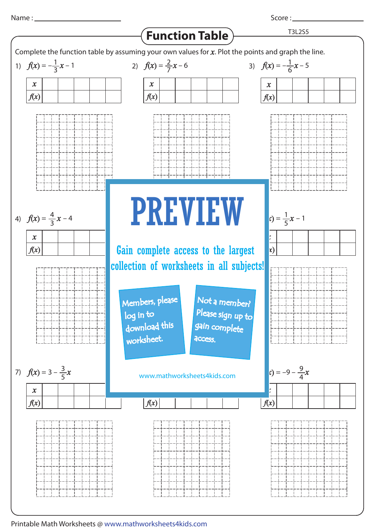1) 2) *f*(*x*) = *x* – 6 3) *f*(*x*) = – *x* – 1 1 2 7  $f(x) = -\frac{1}{6}x - 5$ 6 T3L2S5 Complete the function table by assuming your own values for *x*. Plot the points and graph the line. **Function Table** *x f*(*x*) *x f*(*x*)

8 PREVIEW

Gain complete access to the largest

Members, please

 download this worksheet.

log in to



3

*x f*(*x*)

|      | ————<br>⊢—-  | t — —l — —          | $\vdash\; \! -\; \cdot$  |  |
|------|--------------|---------------------|--------------------------|--|
|      | -            | $\overline{a}$      | $\overline{\phantom{a}}$ |  |
|      |              |                     |                          |  |
|      |              | -----------------   |                          |  |
|      | $-1$         | __                  | ال __                    |  |
|      |              |                     |                          |  |
|      |              |                     |                          |  |
| $ -$ | L _ .<br>$-$ | + - - - -           | ட <i></i> .              |  |
|      |              |                     |                          |  |
|      |              |                     |                          |  |
|      |              | بالمستحلة والمستنات |                          |  |
|      |              |                     |                          |  |

7) *f*(*x*) = 3 – *x* 8) 9) 3

5





Score : \_\_\_\_\_\_\_\_









*f*(*x*) = *x* 7 www.mathworksheets4kids.com

Not a member?

Please sign up to

gain complete

**access** 





*f*(*x*)



Printable Math Worksheets @ www.mathworksheets4kids.com